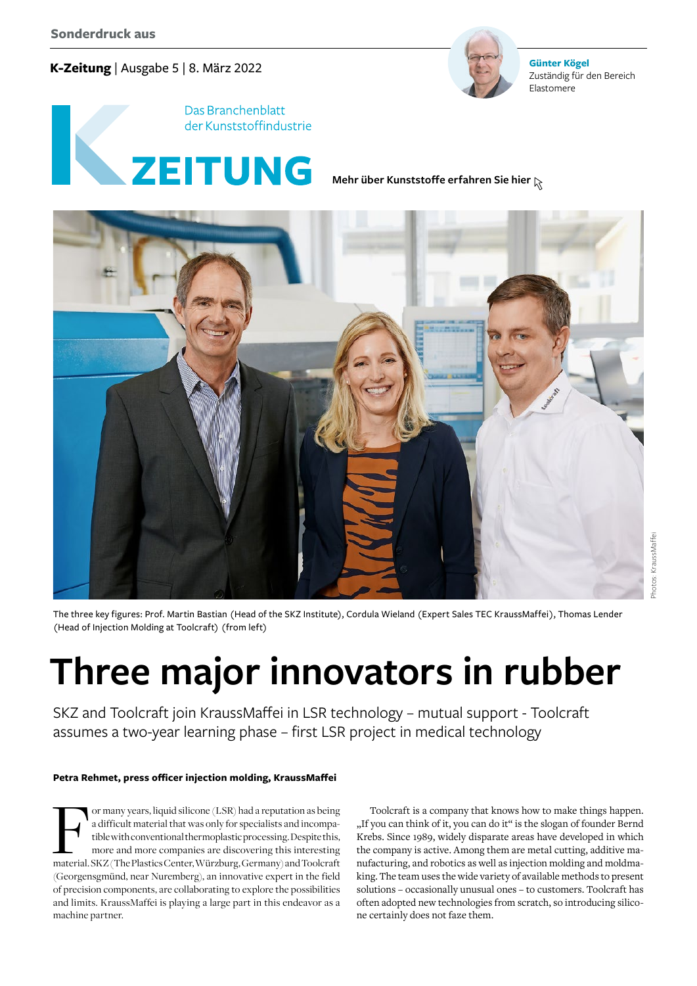# **K-Zeitung** | Ausgabe 5 | 8. März 2022



**Günter Kögel** Zuständig für den Bereich Elastomere



**[Mehr über Kunststoffe erfahren Sie hier](https://www.k-zeitung.de/)**



The three key figures: Prof. Martin Bastian (Head of the SKZ Institute), Cordula Wieland (Expert Sales TEC KraussMaffei), Thomas Lender (Head of Injection Molding at Toolcraft) (from left)

# **Three major innovators in rubber**

SKZ and Toolcraft join KraussMaffei in LSR technology – mutual support - Toolcraft assumes a two-year learning phase – first LSR project in medical technology

# **Petra Rehmet, press officer injection molding, KraussMaffei**

For many years, liquid silicone (LSR) had a reputation as being<br>
a difficult material that was only for specialists and incompa-<br>
tible with conventional thermoplastic processing. Despite this,<br>
more and more companies are a difficult material that was only for specialists and incompatible with conventional thermoplastic processing. Despite this, more and more companies are discovering this interesting (Georgensgmünd, near Nuremberg), an innovative expert in the field of precision components, are collaborating to explore the possibilities and limits. KraussMaffei is playing a large part in this endeavor as a machine partner.

Toolcraft is a company that knows how to make things happen. "If you can think of it, you can do it" is the slogan of founder Bernd Krebs. Since 1989, widely disparate areas have developed in which the company is active. Among them are metal cutting, additive manufacturing, and robotics as well as injection molding and moldmaking. The team uses the wide variety of available methods to present solutions – occasionally unusual ones – to customers. Toolcraft has often adopted new technologies from scratch, so introducing silicone certainly does not faze them.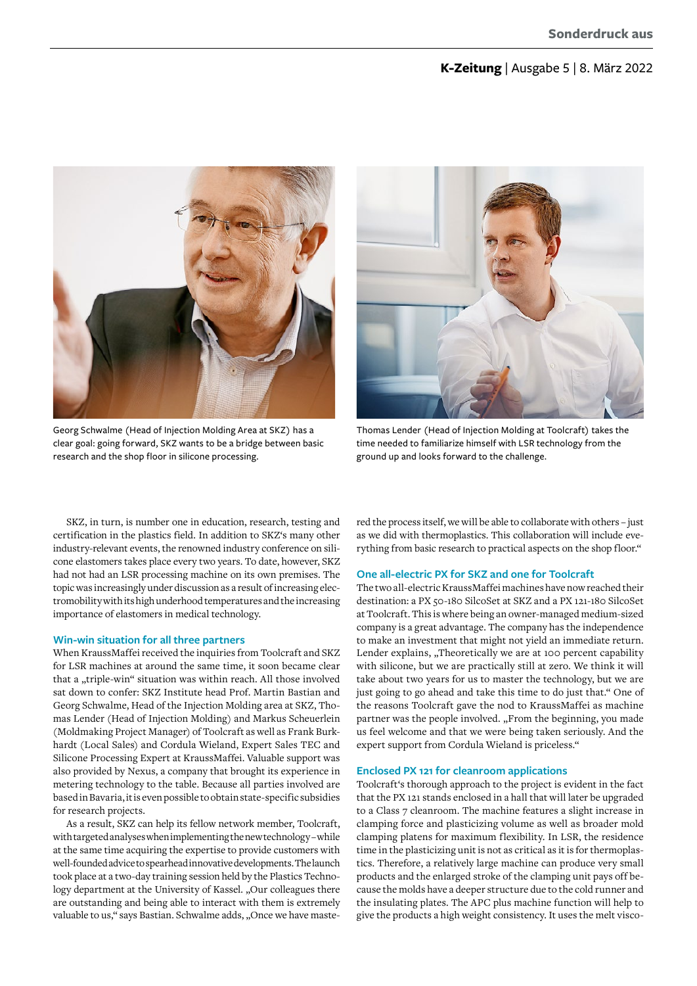# **K-Zeitung** | Ausgabe 5 | 8. März 2022



Georg Schwalme (Head of Injection Molding Area at SKZ) has a clear goal: going forward, SKZ wants to be a bridge between basic research and the shop floor in silicone processing.



Thomas Lender (Head of Injection Molding at Toolcraft) takes the time needed to familiarize himself with LSR technology from the ground up and looks forward to the challenge.

SKZ, in turn, is number one in education, research, testing and certification in the plastics field. In addition to SKZ's many other industry-relevant events, the renowned industry conference on silicone elastomers takes place every two years. To date, however, SKZ had not had an LSR processing machine on its own premises. The topic was increasingly under discussion as a result of increasing electromobility with its high underhood temperatures and the increasing importance of elastomers in medical technology.

## **Win-win situation for all three partners**

When KraussMaffei received the inquiries from Toolcraft and SKZ for LSR machines at around the same time, it soon became clear that a "triple-win" situation was within reach. All those involved sat down to confer: SKZ Institute head Prof. Martin Bastian and Georg Schwalme, Head of the Injection Molding area at SKZ, Thomas Lender (Head of Injection Molding) and Markus Scheuerlein (Moldmaking Project Manager) of Toolcraft as well as Frank Burkhardt (Local Sales) and Cordula Wieland, Expert Sales TEC and Silicone Processing Expert at KraussMaffei. Valuable support was also provided by Nexus, a company that brought its experience in metering technology to the table. Because all parties involved are based in Bavaria, it is even possible to obtain state-specific subsidies for research projects.

As a result, SKZ can help its fellow network member, Toolcraft, with targeted analyses when implementing the new technology – while at the same time acquiring the expertise to provide customers with well-founded advice to spearhead innovative developments. The launch took place at a two-day training session held by the Plastics Technology department at the University of Kassel. "Our colleagues there are outstanding and being able to interact with them is extremely valuable to us," says Bastian. Schwalme adds, "Once we have maste-

red the process itself, we will be able to collaborate with others – just as we did with thermoplastics. This collaboration will include everything from basic research to practical aspects on the shop floor."

## **One all-electric PX for SKZ and one for Toolcraft**

The two all-electric KraussMaffei machines have now reached their destination: a PX 50-180 SilcoSet at SKZ and a PX 121-180 SilcoSet at Toolcraft. This is where being an owner-managed medium-sized company is a great advantage. The company has the independence to make an investment that might not yield an immediate return. Lender explains, "Theoretically we are at 100 percent capability with silicone, but we are practically still at zero. We think it will take about two years for us to master the technology, but we are just going to go ahead and take this time to do just that." One of the reasons Toolcraft gave the nod to KraussMaffei as machine partner was the people involved. "From the beginning, you made us feel welcome and that we were being taken seriously. And the expert support from Cordula Wieland is priceless."

#### **Enclosed PX 121 for cleanroom applications**

Toolcraft's thorough approach to the project is evident in the fact that the PX 121 stands enclosed in a hall that will later be upgraded to a Class 7 cleanroom. The machine features a slight increase in clamping force and plasticizing volume as well as broader mold clamping platens for maximum flexibility. In LSR, the residence time in the plasticizing unit is not as critical as it is for thermoplastics. Therefore, a relatively large machine can produce very small products and the enlarged stroke of the clamping unit pays off because the molds have a deeper structure due to the cold runner and the insulating plates. The APC plus machine function will help to give the products a high weight consistency. It uses the melt visco-